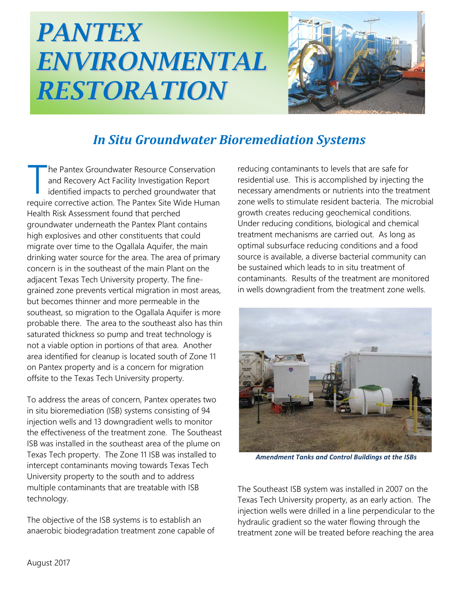## *PANTEX ENVIRONMENTAL RESTORATION*



## *In Situ Groundwater Bioremediation Systems*

he Pantex Groundwater Resource Conservation and Recovery Act Facility Investigation Report identified impacts to perched groundwater that The Pantex Groundwater Resource Conservation<br>
and Recovery Act Facility Investigation Report<br>
identified impacts to perched groundwater that<br>
require corrective action. The Pantex Site Wide Human Health Risk Assessment found that perched groundwater underneath the Pantex Plant contains high explosives and other constituents that could migrate over time to the Ogallala Aquifer, the main drinking water source for the area. The area of primary concern is in the southeast of the main Plant on the adjacent Texas Tech University property. The finegrained zone prevents vertical migration in most areas, but becomes thinner and more permeable in the southeast, so migration to the Ogallala Aquifer is more probable there. The area to the southeast also has thin saturated thickness so pump and treat technology is not a viable option in portions of that area. Another area identified for cleanup is located south of Zone 11 on Pantex property and is a concern for migration offsite to the Texas Tech University property.

To address the areas of concern, Pantex operates two in situ bioremediation (ISB) systems consisting of 94 injection wells and 13 downgradient wells to monitor the effectiveness of the treatment zone. The Southeast ISB was installed in the southeast area of the plume on Texas Tech property. The Zone 11 ISB was installed to intercept contaminants moving towards Texas Tech University property to the south and to address multiple contaminants that are treatable with ISB technology.

The objective of the ISB systems is to establish an anaerobic biodegradation treatment zone capable of

reducing contaminants to levels that are safe for residential use. This is accomplished by injecting the necessary amendments or nutrients into the treatment zone wells to stimulate resident bacteria. The microbial growth creates reducing geochemical conditions. Under reducing conditions, biological and chemical treatment mechanisms are carried out. As long as optimal subsurface reducing conditions and a food source is available, a diverse bacterial community can be sustained which leads to in situ treatment of contaminants. Results of the treatment are monitored in wells downgradient from the treatment zone wells.



*Amendment Tanks and Control Buildings at the ISBs*

The Southeast ISB system was installed in 2007 on the Texas Tech University property, as an early action. The injection wells were drilled in a line perpendicular to the hydraulic gradient so the water flowing through the treatment zone will be treated before reaching the area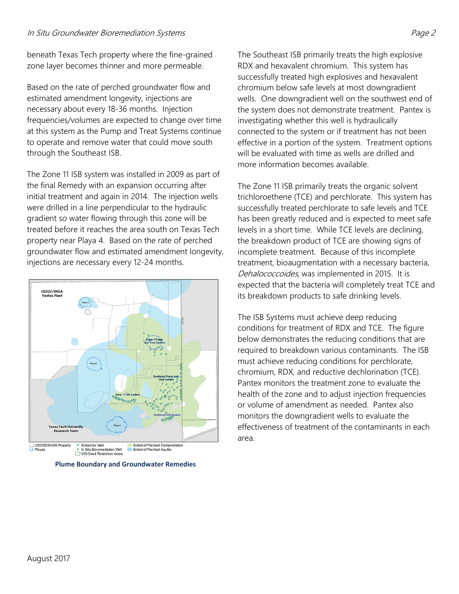## In Situ Groundwater Bioremediation Systems Page 2

beneath Texas Tech property where the fine-grained zone layer becomes thinner and more permeable.

Based on the rate of perched groundwater flow and estimated amendment longevity, injections are necessary about every 18-36 months. Injection frequencies/volumes are expected to change over time at this system as the Pump and Treat Systems continue to operate and remove water that could move south through the Southeast ISB.

The Zone 11 ISB system was installed in 2009 as part of the final Remedy with an expansion occurring after initial treatment and again in 2014. The injection wells were drilled in a line perpendicular to the hydraulic gradient so water flowing through this zone will be treated before it reaches the area south on Texas Tech property near Playa 4. Based on the rate of perched groundwater flow and estimated amendment longevity, injections are necessary every 12-24 months.



**Plume Boundary and Groundwater Remedies**

The Southeast ISB primarily treats the high explosive RDX and hexavalent chromium. This system has successfully treated high explosives and hexavalent chromium below safe levels at most downgradient wells. One downgradient well on the southwest end of the system does not demonstrate treatment. Pantex is investigating whether this well is hydraulically connected to the system or if treatment has not been effective in a portion of the system. Treatment options will be evaluated with time as wells are drilled and more information becomes available.

The Zone 11 ISB primarily treats the organic solvent trichloroethene (TCE) and perchlorate. This system has successfully treated perchlorate to safe levels and TCE has been greatly reduced and is expected to meet safe levels in a short time. While TCE levels are declining, the breakdown product of TCE are showing signs of incomplete treatment. Because of this incomplete treatment, bioaugmentation with a necessary bacteria, Dehalococcoides, was implemented in 2015. It is expected that the bacteria will completely treat TCE and its breakdown products to safe drinking levels.

The ISB Systems must achieve deep reducing conditions for treatment of RDX and TCE. The figure below demonstrates the reducing conditions that are required to breakdown various contaminants. The ISB must achieve reducing conditions for perchlorate, chromium, RDX, and reductive dechlorination (TCE). Pantex monitors the treatment zone to evaluate the health of the zone and to adjust injection frequencies or volume of amendment as needed. Pantex also monitors the downgradient wells to evaluate the effectiveness of treatment of the contaminants in each area.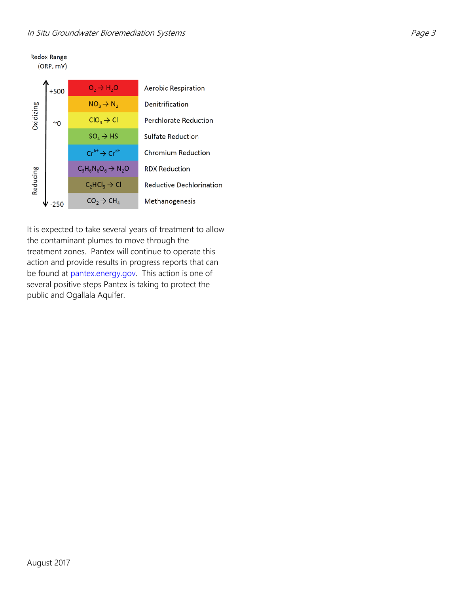## In Situ Groundwater Bioremediation Systems **Page 3** And Situ Groundwater Bioremediation Systems



It is expected to take several years of treatment to allow the contaminant plumes to move through the treatment zones. Pantex will continue to operate this action and provide results in progress reports that can be found at **pantex.energy.gov**. This action is one of several positive steps Pantex is taking to protect the public and Ogallala Aquifer.